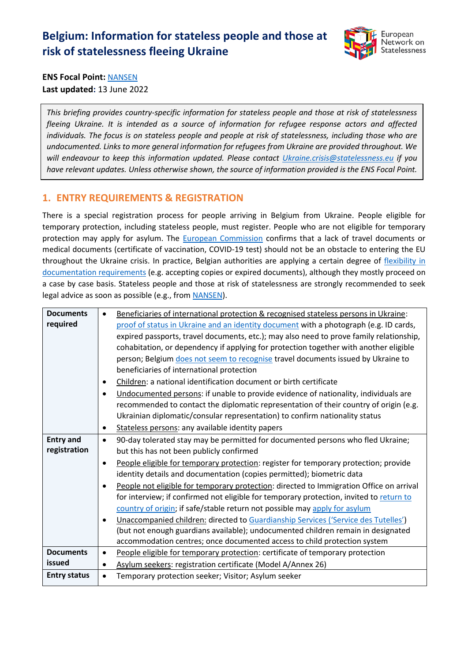# **Belgium: Information for stateless people and those at risk of statelessness fleeing Ukraine**



**ENS Focal Point:** [NANSEN](https://nansen-refugee.be/) **Last updated:** 13 June 2022

*This briefing provides country-specific information for stateless people and those at risk of statelessness fleeing Ukraine. It is intended as a source of information for refugee response actors and affected individuals. The focus is on stateless people and people at risk of statelessness, including those who are undocumented. Links to more general information for refugees from Ukraine are provided throughout. We will endeavour to keep this information updated. Please contact [Ukraine.crisis@statelessness.eu](mailto:Ukraine.crisis@statelessness.eu) if you have relevant updates. Unless otherwise shown, the source of information provided is the ENS Focal Point.*

## **1. ENTRY REQUIREMENTS & REGISTRATION**

There is a special registration process for people arriving in Belgium from Ukraine. People eligible for temporary protection, including stateless people, must register. People who are not eligible for temporary protection may apply for asylum. The **European Commission** confirms that a lack of travel documents or medical documents (certificate of vaccination, COVID-19 test) should not be an obstacle to entering the EU throughout the Ukraine crisis. In practice, Belgian authorities are applying a certain degree of flexibility in [documentation requirements](https://www.agii.be/nieuws/oekraine-verblijfsmogelijkheden-en-rechtspositie-in-belgie) (e.g. accepting copies or expired documents), although they mostly proceed on a case by case basis. Stateless people and those at risk of statelessness are strongly recommended to seek legal advice as soon as possible (e.g., from [NANSEN\)](https://nansen-refugee.be/).

| <b>Documents</b>    | ٠         | Beneficiaries of international protection & recognised stateless persons in Ukraine:    |
|---------------------|-----------|-----------------------------------------------------------------------------------------|
| required            |           | proof of status in Ukraine and an identity document with a photograph (e.g. ID cards,   |
|                     |           | expired passports, travel documents, etc.); may also need to prove family relationship, |
|                     |           | cohabitation, or dependency if applying for protection together with another eligible   |
|                     |           | person; Belgium does not seem to recognise travel documents issued by Ukraine to        |
|                     |           | beneficiaries of international protection                                               |
|                     | $\bullet$ | Children: a national identification document or birth certificate                       |
|                     | $\bullet$ | Undocumented persons: if unable to provide evidence of nationality, individuals are     |
|                     |           | recommended to contact the diplomatic representation of their country of origin (e.g.   |
|                     |           | Ukrainian diplomatic/consular representation) to confirm nationality status             |
|                     | $\bullet$ | Stateless persons: any available identity papers                                        |
| <b>Entry and</b>    | $\bullet$ | 90-day tolerated stay may be permitted for documented persons who fled Ukraine;         |
| registration        |           | but this has not been publicly confirmed                                                |
|                     | $\bullet$ | People eligible for temporary protection: register for temporary protection; provide    |
|                     |           | identity details and documentation (copies permitted); biometric data                   |
|                     | $\bullet$ | People not eligible for temporary protection: directed to Immigration Office on arrival |
|                     |           | for interview; if confirmed not eligible for temporary protection, invited to return to |
|                     |           | country of origin; if safe/stable return not possible may apply for asylum              |
|                     | $\bullet$ | Unaccompanied children: directed to Guardianship Services ('Service des Tutelles')      |
|                     |           | (but not enough guardians available); undocumented children remain in designated        |
|                     |           | accommodation centres; once documented access to child protection system                |
| <b>Documents</b>    | $\bullet$ | People eligible for temporary protection: certificate of temporary protection           |
| issued              | $\bullet$ | Asylum seekers: registration certificate (Model A/Annex 26)                             |
| <b>Entry status</b> | $\bullet$ | Temporary protection seeker; Visitor; Asylum seeker                                     |
|                     |           |                                                                                         |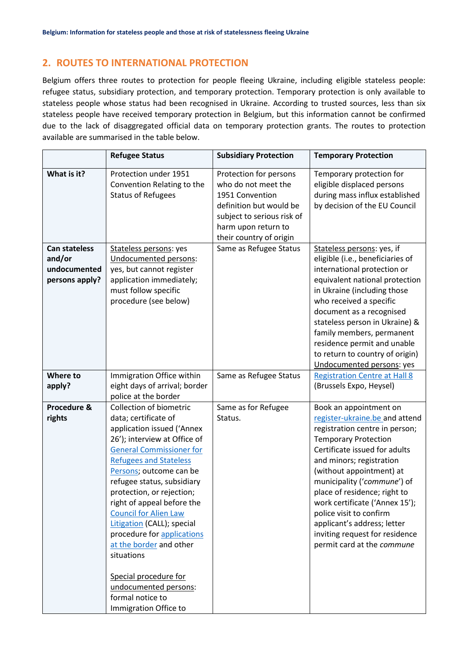# **2. ROUTES TO INTERNATIONAL PROTECTION**

Belgium offers three routes to protection for people fleeing Ukraine, including eligible stateless people: refugee status, subsidiary protection, and temporary protection. Temporary protection is only available to stateless people whose status had been recognised in Ukraine. According to trusted sources, less than six stateless people have received temporary protection in Belgium, but this information cannot be confirmed due to the lack of disaggregated official data on temporary protection grants. The routes to protection available are summarised in the table below.

|                                                                  | <b>Refugee Status</b>                                                                                                                                                                                                                                                                                                                                                                                                                                                                                                                     | <b>Subsidiary Protection</b>                                                                                                                                                | <b>Temporary Protection</b>                                                                                                                                                                                                                                                                                                                                                                                                                   |
|------------------------------------------------------------------|-------------------------------------------------------------------------------------------------------------------------------------------------------------------------------------------------------------------------------------------------------------------------------------------------------------------------------------------------------------------------------------------------------------------------------------------------------------------------------------------------------------------------------------------|-----------------------------------------------------------------------------------------------------------------------------------------------------------------------------|-----------------------------------------------------------------------------------------------------------------------------------------------------------------------------------------------------------------------------------------------------------------------------------------------------------------------------------------------------------------------------------------------------------------------------------------------|
| What is it?                                                      | Protection under 1951<br>Convention Relating to the<br><b>Status of Refugees</b>                                                                                                                                                                                                                                                                                                                                                                                                                                                          | Protection for persons<br>who do not meet the<br>1951 Convention<br>definition but would be<br>subject to serious risk of<br>harm upon return to<br>their country of origin | Temporary protection for<br>eligible displaced persons<br>during mass influx established<br>by decision of the EU Council                                                                                                                                                                                                                                                                                                                     |
| <b>Can stateless</b><br>and/or<br>undocumented<br>persons apply? | Stateless persons: yes<br>Undocumented persons:<br>yes, but cannot register<br>application immediately;<br>must follow specific<br>procedure (see below)                                                                                                                                                                                                                                                                                                                                                                                  | Same as Refugee Status                                                                                                                                                      | Stateless persons: yes, if<br>eligible (i.e., beneficiaries of<br>international protection or<br>equivalent national protection<br>in Ukraine (including those<br>who received a specific<br>document as a recognised<br>stateless person in Ukraine) &<br>family members, permanent<br>residence permit and unable<br>to return to country of origin)<br>Undocumented persons: yes                                                           |
| Where to<br>apply?                                               | Immigration Office within<br>eight days of arrival; border<br>police at the border                                                                                                                                                                                                                                                                                                                                                                                                                                                        | Same as Refugee Status                                                                                                                                                      | <b>Registration Centre at Hall 8</b><br>(Brussels Expo, Heysel)                                                                                                                                                                                                                                                                                                                                                                               |
| Procedure &<br>rights                                            | Collection of biometric<br>data; certificate of<br>application issued ('Annex<br>26'); interview at Office of<br><b>General Commissioner for</b><br><b>Refugees and Stateless</b><br>Persons; outcome can be<br>refugee status, subsidiary<br>protection, or rejection;<br>right of appeal before the<br><b>Council for Alien Law</b><br>Litigation (CALL); special<br>procedure for applications<br>at the border and other<br>situations<br>Special procedure for<br>undocumented persons:<br>formal notice to<br>Immigration Office to | Same as for Refugee<br>Status.                                                                                                                                              | Book an appointment on<br>register-ukraine.be and attend<br>registration centre in person;<br><b>Temporary Protection</b><br>Certificate issued for adults<br>and minors; registration<br>(without appointment) at<br>municipality ('commune') of<br>place of residence; right to<br>work certificate ('Annex 15');<br>police visit to confirm<br>applicant's address; letter<br>inviting request for residence<br>permit card at the commune |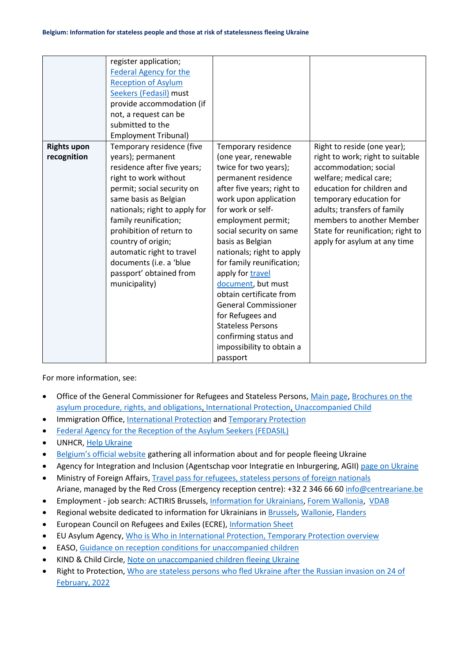|                    | register application;         |                             |                                   |
|--------------------|-------------------------------|-----------------------------|-----------------------------------|
|                    |                               |                             |                                   |
|                    | <b>Federal Agency for the</b> |                             |                                   |
|                    | <b>Reception of Asylum</b>    |                             |                                   |
|                    | Seekers (Fedasil) must        |                             |                                   |
|                    | provide accommodation (if     |                             |                                   |
|                    | not, a request can be         |                             |                                   |
|                    | submitted to the              |                             |                                   |
|                    | <b>Employment Tribunal)</b>   |                             |                                   |
| <b>Rights upon</b> | Temporary residence (five     | Temporary residence         | Right to reside (one year);       |
| recognition        | years); permanent             | (one year, renewable        | right to work; right to suitable  |
|                    | residence after five years;   | twice for two years);       | accommodation; social             |
|                    | right to work without         | permanent residence         | welfare; medical care;            |
|                    | permit; social security on    | after five years; right to  | education for children and        |
|                    | same basis as Belgian         | work upon application       | temporary education for           |
|                    | nationals; right to apply for | for work or self-           | adults; transfers of family       |
|                    | family reunification;         | employment permit;          | members to another Member         |
|                    | prohibition of return to      | social security on same     | State for reunification; right to |
|                    | country of origin;            | basis as Belgian            | apply for asylum at any time      |
|                    | automatic right to travel     | nationals; right to apply   |                                   |
|                    | documents (i.e. a 'blue       | for family reunification;   |                                   |
|                    | passport' obtained from       | apply for travel            |                                   |
|                    | municipality)                 | document, but must          |                                   |
|                    |                               | obtain certificate from     |                                   |
|                    |                               | <b>General Commissioner</b> |                                   |
|                    |                               | for Refugees and            |                                   |
|                    |                               | <b>Stateless Persons</b>    |                                   |
|                    |                               | confirming status and       |                                   |
|                    |                               | impossibility to obtain a   |                                   |
|                    |                               | passport                    |                                   |

For more information, see:

- Office of the General Commissioner for Refugees and Stateless Persons, [Main page,](https://www.cgrs.be/en/asylum/border-procedure) [Brochures on the](https://www.cgrs.be/en/publications)  [asylum procedure, rights, and obligations](https://www.cgrs.be/en/publications)[, International Protection,](https://www.cgrs.be/en/international-protection#jump-1) [Unaccompanied Child](https://www.cgrs.be/en/unaccompanied-child)
- Immigration Office, [International Protection](https://dofi.ibz.be/fr/themes/protection-internationale) an[d Temporary Protection](https://dofi.ibz.be/fr/themes/ukraine/protection-temporaire)
- [Federal Agency for the Reception of the Asylum Seekers \(FEDASIL\)](https://www.fedasil.be/fr)
- UNHCR, Help [Ukraine](https://help.unhcr.org/ukraine/fr/)
- [Belgium's official website](https://info-ukraine.be/en/assistance-belgium/people-run) gathering all information about and for people fleeing Ukraine
- Agency for Integration and Inclusion (Agentschap voor Integratie en Inburgering, AGII) [page on Ukraine](https://www.agii.be/nieuws/oekraine-verblijfsmogelijkheden-en-rechtspositie-in-belgie)
- Ministry of Foreign Affairs[, Travel pass for refugees, stateless persons of foreign nationals](https://diplomatie.belgium.be/en/services/services_abroad/belgian_passport/travel_pass_refugees_stateless_persons_or_foreign) Ariane, managed by the Red Cross (Emergency reception centre): +32 2 346 66 6[0 info@centreariane.be](mailto:info@centreariane.be)
- Employment job search: ACTIRIS Brussel[s, Information for Ukrainians,](https://www.actiris.brussels/en/citizens/information-for-ukrainian/) [Forem Wallonia,](https://www.leforem.be/citoyens/ukraine.html) [VDAB](https://www.vdab.be/vindeenjob/vacatures/64306087/zaagoperator-oekraine-ukrain)
- Regional website dedicated to information for Ukrainians in [Brussels,](https://www.helpukraine.brussels/en) [Wallonie,](https://circulate.it/r/qEtKsvWv-QP5guOSpdpJxbqOc9WdrNXuCZfHhhgfAZ7Eqq_pTU6WYkD0kNhtnfTLAs6es7rXCCaNy4mz7sqHRhh3eSI/n/V2FsbG9uaWU/www.wallonie.be/uk/ukrayina) [Flanders](https://circulate.it/r/qEtKsvWv-QP5guOSpdpJxV-zP3jve19TRHMuWGQe2asEgAIX_jPrIxVAHVo7xOg3AlIC353clckNTPXrwPbRLDL-I28/n/RmxhbmRlcnM/www.vlaanderen.be/vlaanderen-helpt-oekraine)
- European Council on Refugees and Exiles (ECRE), [Information Sheet](https://ecre.org/wp-content/uploads/2022/03/Information-Sheet-%E2%80%93-Access-to-territory-asylum-procedures-and-reception-conditions-for-Ukrainian-nationals-in-European-countries.pdf)
- EU Asylum Agency, [Who is Who in International Protection, Temporary Protection overview](https://whoiswho.euaa.europa.eu/temporary-protection)
- EASO, [Guidance on reception conditions for unaccompanied children](https://euaa.europa.eu/publications/guidance-reception-conditions-unaccompanied-children)
- KIND & Child Circle, [Note on unaccompanied children fleeing Ukraine](https://supportkind.org/wp-content/uploads/2022/03/Note-on-Unaccompanied-Children-Fleeing-from-Ukraine_Updated.pdf)
- Right to Protection, [Who are stateless persons who fled Ukraine after the Russian invasion on 24 of](https://r2p.org.ua/stateless-persons-fled-ukraine-after-2022/?lang=en)  [February, 2022](https://r2p.org.ua/stateless-persons-fled-ukraine-after-2022/?lang=en)